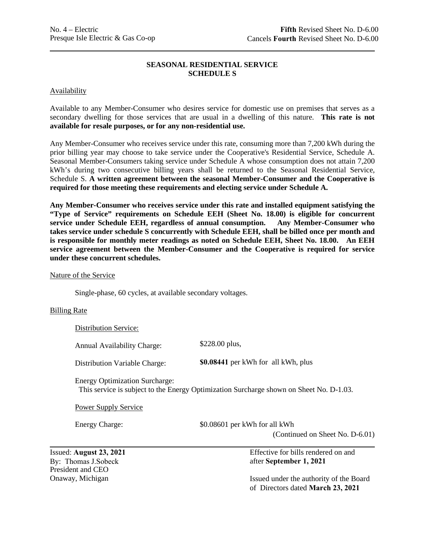# **SEASONAL RESIDENTIAL SERVICE SCHEDULE S**

### Availability

Available to any Member-Consumer who desires service for domestic use on premises that serves as a secondary dwelling for those services that are usual in a dwelling of this nature. **This rate is not available for resale purposes, or for any non-residential use.** 

Any Member-Consumer who receives service under this rate, consuming more than 7,200 kWh during the prior billing year may choose to take service under the Cooperative's Residential Service, Schedule A. Seasonal Member-Consumers taking service under Schedule A whose consumption does not attain 7,200 kWh's during two consecutive billing years shall be returned to the Seasonal Residential Service, Schedule S. **A written agreement between the seasonal Member-Consumer and the Cooperative is required for those meeting these requirements and electing service under Schedule A.** 

**Any Member-Consumer who receives service under this rate and installed equipment satisfying the "Type of Service" requirements on Schedule EEH (Sheet No. 18.00) is eligible for concurrent service under Schedule EEH, regardless of annual consumption. Any Member-Consumer who takes service under schedule S concurrently with Schedule EEH, shall be billed once per month and is responsible for monthly meter readings as noted on Schedule EEH, Sheet No. 18.00. An EEH service agreement between the Member-Consumer and the Cooperative is required for service under these concurrent schedules.** 

#### Nature of the Service

Single-phase, 60 cycles, at available secondary voltages.

### Billing Rate

Distribution Service:

\$228.00 plus, Annual Availability Charge:

\$0.08441 per kWh for all kWh, plus Distribution Variable Charge:

Energy Optimization Surcharge: This service is subject to the Energy Optimization Surcharge shown on Sheet No. D-1.03.

Power Supply Service

Energy Charge:  $$0.08601$  per kWh for all kWh

(Continued on Sheet No. D-6.01)

Issued: August 23, 2021 By: Thomas J.Sobeck President and CEO Onaway, Michigan

Effective for bills rendered on and after September 1, 2021

Issued under the authority of the Board of Directors dated March 23, 2021